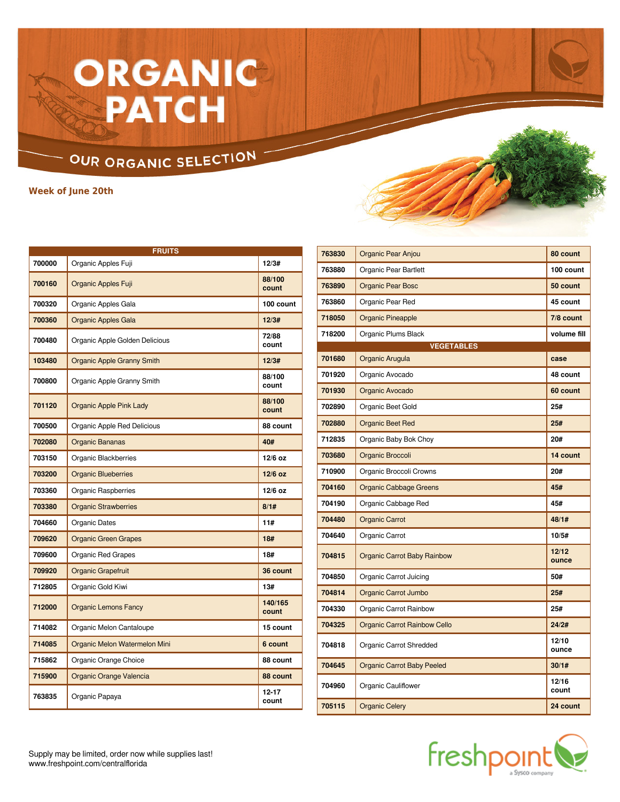# ORGANIC PATCH

### OUR ORGANIC SELECTION

**Week of June 20th**

|        | <b>FRUITS</b>                     |                    |  |  |  |
|--------|-----------------------------------|--------------------|--|--|--|
| 700000 | Organic Apples Fuji               | 12/3#              |  |  |  |
| 700160 | Organic Apples Fuji               | 88/100<br>count    |  |  |  |
| 700320 | Organic Apples Gala               | 100 count          |  |  |  |
| 700360 | <b>Organic Apples Gala</b>        | 12/3#              |  |  |  |
| 700480 | Organic Apple Golden Delicious    | 72/88<br>count     |  |  |  |
| 103480 | <b>Organic Apple Granny Smith</b> | 12/3#              |  |  |  |
| 700800 | Organic Apple Granny Smith        | 88/100<br>count    |  |  |  |
| 701120 | <b>Organic Apple Pink Lady</b>    | 88/100<br>count    |  |  |  |
| 700500 | Organic Apple Red Delicious       | 88 count           |  |  |  |
| 702080 | <b>Organic Bananas</b>            | 40#                |  |  |  |
| 703150 | Organic Blackberries              | 12/6 oz            |  |  |  |
| 703200 | <b>Organic Blueberries</b>        | $12/6$ oz          |  |  |  |
| 703360 | Organic Raspberries               | $12/6$ oz          |  |  |  |
| 703380 | <b>Organic Strawberries</b>       | 8/1#               |  |  |  |
| 704660 | Organic Dates                     | 11#                |  |  |  |
| 709620 | <b>Organic Green Grapes</b>       | 18#                |  |  |  |
| 709600 | Organic Red Grapes                | 18#                |  |  |  |
| 709920 | Organic Grapefruit                | 36 count           |  |  |  |
| 712805 | Organic Gold Kiwi                 | 13#                |  |  |  |
| 712000 | <b>Organic Lemons Fancy</b>       | 140/165<br>count   |  |  |  |
| 714082 | Organic Melon Cantaloupe          | 15 count           |  |  |  |
| 714085 | Organic Melon Watermelon Mini     | 6 count            |  |  |  |
| 715862 | Organic Orange Choice             | 88 count           |  |  |  |
| 715900 | Organic Orange Valencia           | 88 count           |  |  |  |
| 763835 | Organic Papaya                    | $12 - 17$<br>count |  |  |  |

| 763830 | Organic Pear Anjou                  | 80 count       |
|--------|-------------------------------------|----------------|
| 763880 | Organic Pear Bartlett               | 100 count      |
| 763890 | <b>Organic Pear Bosc</b>            | 50 count       |
| 763860 | Organic Pear Red                    | 45 count       |
| 718050 | <b>Organic Pineapple</b>            | 7/8 count      |
| 718200 | Organic Plums Black                 | volume fill    |
|        | <b>VEGETABLES</b>                   |                |
| 701680 | Organic Arugula                     | case           |
| 701920 | Organic Avocado                     | 48 count       |
| 701930 | Organic Avocado                     | 60 count       |
| 702890 | Organic Beet Gold                   | 25#            |
| 702880 | <b>Organic Beet Red</b>             | 25#            |
| 712835 | Organic Baby Bok Choy               | 20#            |
| 703680 | Organic Broccoli                    | 14 count       |
| 710900 | Organic Broccoli Crowns             | 20#            |
| 704160 | <b>Organic Cabbage Greens</b>       | 45#            |
| 704190 | Organic Cabbage Red                 | 45#            |
| 704480 | <b>Organic Carrot</b>               | 48/1#          |
| 704640 | Organic Carrot                      | 10/5#          |
| 704815 | <b>Organic Carrot Baby Rainbow</b>  | 12/12<br>ounce |
| 704850 | Organic Carrot Juicing              | 50#            |
| 704814 | Organic Carrot Jumbo                | 25#            |
| 704330 | Organic Carrot Rainbow              | 25#            |
| 704325 | <b>Organic Carrot Rainbow Cello</b> | 24/2#          |
| 704818 | Organic Carrot Shredded             | 12/10<br>ounce |
| 704645 | <b>Organic Carrot Baby Peeled</b>   | 30/1#          |
| 704960 | Organic Cauliflower                 | 12/16<br>count |
| 705115 | <b>Organic Celery</b>               | 24 count       |